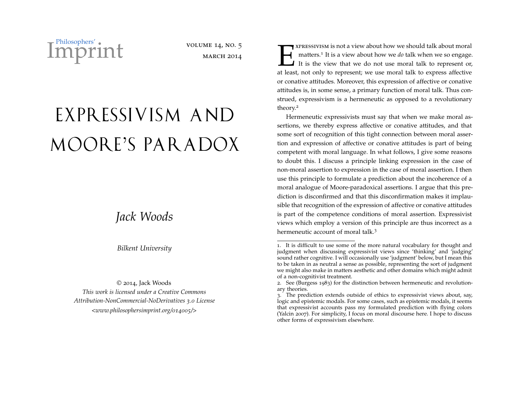Philosophers' **Imprint** volume 14, No. 5<br>March 2014

**MARCH 2014** 

## EXPRESSIVISM AND MOORE'S PARADOX

## *Jack Woods*

*Bilkent University*

© 2014, Jack Woods *This work is licensed under a Creative Commons Attribution-NonCommercial-NoDerivatives 3.0 License [<www.philosophersimprint.org/](http://www.philosophersimprint.org/014005/)014005/>*

 $\prod_{\text{at least}}$ **T** XPRESSIVISM is not a view about how we should talk about moral matters.<sup>[1](#page-0-0)</sup> It is a view about how we *do* talk when we so engage. It is the view that we do not use moral talk to represent or, at least, not only to represent; we use moral talk to express affective or conative attitudes. Moreover, this expression of affective or conative attitudes is, in some sense, a primary function of moral talk. Thus construed, expressivism is a hermeneutic as opposed to a revolutionary theory.[2](#page-0-1)

Hermeneutic expressivists must say that when we make moral assertions, we thereby express affective or conative attitudes, and that some sort of recognition of this tight connection between moral assertion and expression of affective or conative attitudes is part of being competent with moral language. In what follows, I give some reasons to doubt this. I discuss a principle linking expression in the case of non-moral assertion to expression in the case of moral assertion. I then use this principle to formulate a prediction about the incoherence of a moral analogue of Moore-paradoxical assertions. I argue that this prediction is disconfirmed and that this disconfirmation makes it implausible that recognition of the expression of affective or conative attitudes is part of the competence conditions of moral assertion. Expressivist views which employ a version of this principle are thus incorrect as a hermeneutic account of moral talk.<sup>[3](#page-0-2)</sup>

<span id="page-0-0"></span><sup>1</sup>. It is difficult to use some of the more natural vocabulary for thought and judgment when discussing expressivist views since 'thinking' and 'judging' sound rather cognitive. I will occasionally use 'judgment' below, but I mean this to be taken in as neutral a sense as possible, representing the sort of judgment we might also make in matters aesthetic and other domains which might admit of a non-cognitivist treatment.

<span id="page-0-1"></span><sup>2</sup>. See [\(Burgess](#page-10-0) 1983) for the distinction between hermeneutic and revolutionary theories.

<span id="page-0-2"></span><sup>3</sup>. The prediction extends outside of ethics to expressivist views about, say, logic and epistemic modals. For some cases, such as epistemic modals, it seems that expressivist accounts pass my formulated prediction with flying colors [\(Yalcin](#page-11-0) 2007). For simplicity, I focus on moral discourse here. I hope to discuss other forms of expressivism elsewhere.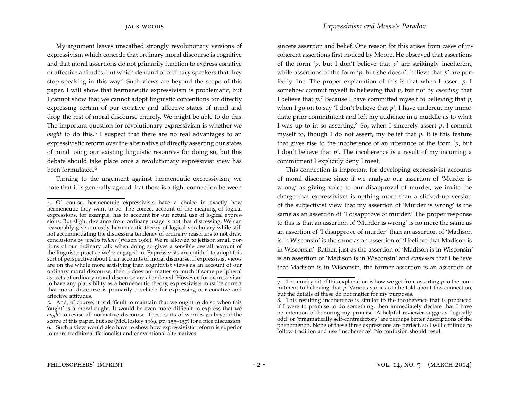My argument leaves unscathed strongly revolutionary versions of expressivism which concede that ordinary moral discourse is cognitive and that moral assertions do not primarily function to express conative or affective attitudes, but which demand of ordinary speakers that they stop speaking in this way.[4](#page-1-0) Such views are beyond the scope of this paper. I will show that hermeneutic expressivism is problematic, but I cannot show that we cannot adopt linguistic contentions for directly expressing certain of our conative and affective states of mind and drop the rest of moral discourse entirely. We might be able to do this. The important question for revolutionary expressivism is whether we ought to do this.<sup>[5](#page-1-1)</sup> I suspect that there are no real advantages to an expressivistic reform over the alternative of directly asserting our states of mind using our existing linguistic resources for doing so, but this debate should take place once a revolutionary expressivist view has been formulated.<sup>[6](#page-1-2)</sup>

Turning to the argument against hermeneutic expressivism, we note that it is generally agreed that there is a tight connection between

sincere assertion and belief. One reason for this arises from cases of incoherent assertions first noticed by Moore. He observed that assertions of the form '*p*, but I don't believe that *p*' are strikingly incoherent, while assertions of the form '*p*, but she doesn't believe that *p*' are perfectly fine. The proper explanation of this is that when I assert *p*, I somehow commit myself to believing that *p*, but not by *asserting* that I believe that *p*. [7](#page-1-3) Because I have committed myself to believing that *p*, when I go on to say 'I don't believe that *p*', I have undercut my immediate prior commitment and left my audience in a muddle as to what I was up to in so asserting.<sup>[8](#page-1-4)</sup> So, when I sincerely assert  $p$ , I commit myself to, though I do not assert, my belief that *p*. It is this feature that gives rise to the incoherence of an utterance of the form '*p*, but I don't believe that *p*'. The incoherence is a result of my incurring a commitment I explicitly deny I meet.

This connection is important for developing expressivist accounts of moral discourse since if we analyze our assertion of 'Murder is wrong' as giving voice to our disapproval of murder, we invite the charge that expressivism is nothing more than a slicked-up version of the subjectivist view that my assertion of 'Murder is wrong' is the same as an assertion of 'I disapprove of murder.' The proper response to this is that an assertion of 'Murder is wrong' is no more the same as an assertion of 'I disapprove of murder' than an assertion of 'Madison is in Wisconsin' is the same as an assertion of 'I believe that Madison is in Wisconsin'. Rather, just as the assertion of 'Madison is in Wisconsin' is an assertion of 'Madison is in Wisconsin' and *expresses* that I believe that Madison is in Wisconsin, the former assertion is an assertion of

<span id="page-1-0"></span><sup>4</sup>. Of course, hermeneutic expressivists have a choice in exactly how hermeneutic they want to be. The correct account of the meaning of logical expressions, for example, has to account for our actual use of logical expressions. But slight deviance from ordinary usage is not that distressing. We can reasonably give a mostly hermeneutic theory of logical vocabulary while still not accommodating the distressing tendency of ordinary reasoners to not draw conclusions by *modus tollens* [\(Wason](#page-11-1) 1960). We're allowed to jettison small portions of our ordinary talk when doing so gives a sensible overall account of the linguistic practice we're engaged in. Expressivists are entitled to adopt this sort of perspective about their accounts of moral discourse. If expressivist views are on the whole more satisfying than cognitivist views as an account of our ordinary moral discourse, then it does not matter so much if some peripheral aspects of ordinary moral discourse are abandoned. However, for expressivism to have any plausibility as a hermeneutic theory, expressivists must be correct that moral discourse is primarily a vehicle for expressing our conative and affective attitudes.

<span id="page-1-2"></span><span id="page-1-1"></span><sup>5</sup>. And, of course, it is difficult to maintain that we ought to do so when this 'ought' is a moral ought. It would be even more difficult to express that we *ought* to revise all normative discourse. These sorts of worries go beyond the scope of this paper, but see [\(McCloskey](#page-10-1) 1969, pp. 155–157) for a nice discussion. 6. Such a view would also have to show how expressivistic reform is superior to more traditional fictionalist and conventional alternatives.

<span id="page-1-3"></span><sup>7</sup>. The murky bit of this explanation is how we get from asserting *p* to the commitment to believing that *p*. Various stories can be told about this connection, but the details of these do not matter for my purposes.

<span id="page-1-4"></span><sup>8</sup>. This resulting incoherence is similar to the incoherence that is produced if I were to promise to do something, then immediately declare that I have no intention of honoring my promise. A helpful reviewer suggests 'logically odd' or 'pragmatically self-contradictory' are perhaps better descriptions of the phenomenon. None of these three expressions are perfect, so I will continue to follow tradition and use 'incoherence'. No confusion should result.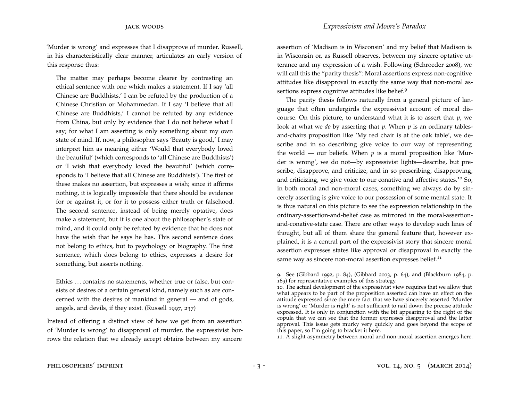'Murder is wrong' and expresses that I disapprove of murder. Russell, in his characteristically clear manner, articulates an early version of this response thus:

The matter may perhaps become clearer by contrasting an ethical sentence with one which makes a statement. If I say 'all Chinese are Buddhists,' I can be refuted by the production of a Chinese Christian or Mohammedan. If I say 'I believe that all Chinese are Buddhists,' I cannot be refuted by any evidence from China, but only by evidence that I do not believe what I say; for what I am asserting is only something about my own state of mind. If, now, a philosopher says 'Beauty is good,' I may interpret him as meaning either 'Would that everybody loved the beautiful' (which corresponds to 'all Chinese are Buddhists') or 'I wish that everybody loved the beautiful' (which corresponds to 'I believe that all Chinese are Buddhists'). The first of these makes no assertion, but expresses a wish; since it affirms nothing, it is logically impossible that there should be evidence for or against it, or for it to possess either truth or falsehood. The second sentence, instead of being merely optative, does make a statement, but it is one about the philosopher's state of mind, and it could only be refuted by evidence that he does not have the wish that he says he has. This second sentence does not belong to ethics, but to psychology or biography. The first sentence, which does belong to ethics, expresses a desire for something, but asserts nothing.

Ethics . . . contains no statements, whether true or false, but consists of desires of a certain general kind, namely such as are concerned with the desires of mankind in general — and of gods, angels, and devils, if they exist. [\(Russell](#page-10-2) 1997, 237)

Instead of offering a distinct view of how we get from an assertion of 'Murder is wrong' to disapproval of murder, the expressivist borrows the relation that we already accept obtains between my sincere assertion of 'Madison is in Wisconsin' and my belief that Madison is in Wisconsin or, as Russell observes, between my sincere optative utterance and my expression of a wish. Following [\(Schroeder](#page-10-3) 2008), we will call this the "parity thesis": Moral assertions express non-cognitive attitudes like disapproval in exactly the same way that non-moral as-sertions express cognitive attitudes like belief.<sup>[9](#page-2-0)</sup>

The parity thesis follows naturally from a general picture of language that often undergirds the expressivist account of moral discourse. On this picture, to understand what it is to assert that *p*, we look at what we *do* by asserting that *p*. When *p* is an ordinary tablesand-chairs proposition like 'My red chair is at the oak table', we describe and in so describing give voice to our way of representing the world — our beliefs. When  $p$  is a moral proposition like 'Murder is wrong', we do not—by expressivist lights—describe, but prescribe, disapprove, and criticize, and in so prescribing, disapproving, and criticizing, we give voice to our conative and affective states.<sup>[10](#page-2-1)</sup> So, in both moral and non-moral cases, something we always do by sincerely asserting is give voice to our possession of some mental state. It is thus natural on this picture to see the expression relationship in the ordinary-assertion-and-belief case as mirrored in the moral-assertionand-conative-state case. There are other ways to develop such lines of thought, but all of them share the general feature that, however explained, it is a central part of the expressivist story that sincere moral assertion expresses states like approval or disapproval in exactly the same way as sincere non-moral assertion expresses belief.<sup>[11](#page-2-2)</sup>

<span id="page-2-2"></span>11. A slight asymmetry between moral and non-moral assertion emerges here.

<span id="page-2-0"></span><sup>9</sup>. See [\(Gibbard](#page-10-4) 1992, p. 84), [\(Gibbard](#page-10-5) 2003, p. 64), and [\(Blackburn](#page-10-6) 1984, p. 169) for representative examples of this strategy.

<span id="page-2-1"></span><sup>10</sup>. The actual development of the expressivist view requires that we allow that what appears to be part of the proposition asserted can have an effect on the attitude expressed since the mere fact that we have sincerely asserted 'Murder is wrong' or 'Murder is right' is not sufficient to nail down the precise attitude expressed. It is only in conjunction with the bit appearing to the right of the copula that we can see that the former expresses disapproval and the latter approval. This issue gets murky very quickly and goes beyond the scope of this paper, so I'm going to bracket it here.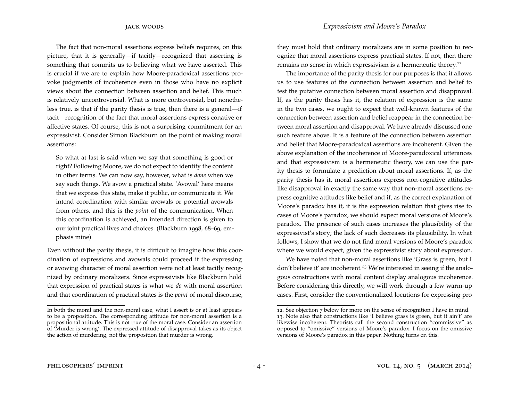The fact that non-moral assertions express beliefs requires, on this picture, that it is generally—if tacitly—recognized that asserting is something that commits us to believing what we have asserted. This is crucial if we are to explain how Moore-paradoxical assertions provoke judgments of incoherence even in those who have no explicit views about the connection between assertion and belief. This much is relatively uncontroversial. What is more controversial, but nonetheless true, is that if the parity thesis is true, then there is a general—if tacit—recognition of the fact that moral assertions express conative or affective states. Of course, this is not a surprising commitment for an expressivist. Consider Simon Blackburn on the point of making moral assertions:

So what at last is said when we say that something is good or right? Following Moore, we do not expect to identify the content in other terms. We can now say, however, what is *done* when we say such things. We avow a practical state. 'Avowal' here means that we express this state, make it public, or communicate it. We intend coordination with similar avowals or potential avowals from others, and this is the *point* of the communication. When this coordination is achieved, an intended direction is given to our joint practical lives and choices. [\(Blackburn](#page-10-7) 1998, 68–69, emphasis mine)

Even without the parity thesis, it is difficult to imagine how this coordination of expressions and avowals could proceed if the expressing or avowing character of moral assertion were not at least tacitly recognized by ordinary moralizers. Since expressivists like Blackburn hold that expression of practical states is what we *do* with moral assertion and that coordination of practical states is the *point* of moral discourse,

they must hold that ordinary moralizers are in some position to recognize that moral assertions express practical states. If not, then there remains no sense in which expressivism is a hermeneutic theory.[12](#page-3-0)

The importance of the parity thesis for our purposes is that it allows us to use features of the connection between assertion and belief to test the putative connection between moral assertion and disapproval. If, as the parity thesis has it, the relation of expression is the same in the two cases, we ought to expect that well-known features of the connection between assertion and belief reappear in the connection between moral assertion and disapproval. We have already discussed one such feature above. It is a feature of the connection between assertion and belief that Moore-paradoxical assertions are incoherent. Given the above explanation of the incoherence of Moore-paradoxical utterances and that expressivism is a hermeneutic theory, we can use the parity thesis to formulate a prediction about moral assertions. If, as the parity thesis has it, moral assertions express non-cognitive attitudes like disapproval in exactly the same way that non-moral assertions express cognitive attitudes like belief and if, as the correct explanation of Moore's paradox has it, it is the expression relation that gives rise to cases of Moore's paradox, we should expect moral versions of Moore's paradox. The presence of such cases increases the plausibility of the expressivist's story; the lack of such decreases its plausibility. In what follows, I show that we do not find moral versions of Moore's paradox where we would expect, given the expressivist story about expression.

We have noted that non-moral assertions like 'Grass is green, but I don't believe it' are incoherent.[13](#page-3-1) We're interested in seeing if the analogous constructions with moral content display analogous incoherence. Before considering this directly, we will work through a few warm-up cases. First, consider the conventionalized locutions for expressing pro

In both the moral and the non-moral case, what I assert is or at least appears to be a proposition. The corresponding attitude for non-moral assertion is a propositional attitude. This is not true of the moral case. Consider an assertion of 'Murder is wrong'. The expressed attitude of disapproval takes as its object the action of murdering, not the proposition that murder is wrong.

<span id="page-3-1"></span><span id="page-3-0"></span><sup>12</sup>. See objection 7 below for more on the sense of recognition I have in mind. 13. Note also that constructions like 'I believe grass is green, but it ain't' are likewise incoherent. Theorists call the second construction "commissive" as opposed to "omissive" versions of Moore's paradox. I focus on the omissive versions of Moore's paradox in this paper. Nothing turns on this.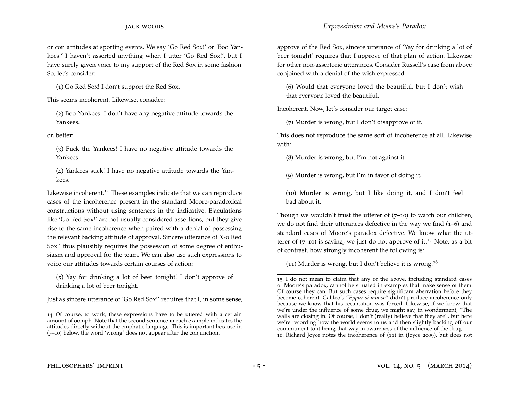or con attitudes at sporting events. We say 'Go Red Sox!' or 'Boo Yankees!' I haven't asserted anything when I utter 'Go Red Sox!', but I have surely given voice to my support of the Red Sox in some fashion. So, let's consider:

(1) Go Red Sox! I don't support the Red Sox.

This seems incoherent. Likewise, consider:

(2) Boo Yankees! I don't have any negative attitude towards the Yankees.

or, better:

(3) Fuck the Yankees! I have no negative attitude towards the Yankees.

(4) Yankees suck! I have no negative attitude towards the Yankees.

Likewise incoherent.<sup>[14](#page-4-0)</sup> These examples indicate that we can reproduce cases of the incoherence present in the standard Moore-paradoxical constructions without using sentences in the indicative. Ejaculations like 'Go Red Sox!' are not usually considered assertions, but they give rise to the same incoherence when paired with a denial of possessing the relevant backing attitude of approval. Sincere utterance of 'Go Red Sox!' thus plausibly requires the possession of some degree of enthusiasm and approval for the team. We can also use such expressions to voice our attitudes towards certain courses of action:

(5) Yay for drinking a lot of beer tonight! I don't approve of drinking a lot of beer tonight.

Just as sincere utterance of 'Go Red Sox!' requires that I, in some sense,

approve of the Red Sox, sincere utterance of 'Yay for drinking a lot of beer tonight' requires that I approve of that plan of action. Likewise for other non-assertoric utterances. Consider Russell's case from above conjoined with a denial of the wish expressed:

(6) Would that everyone loved the beautiful, but I don't wish that everyone loved the beautiful.

Incoherent. Now, let's consider our target case:

(7) Murder is wrong, but I don't disapprove of it.

This does not reproduce the same sort of incoherence at all. Likewise with:

(8) Murder is wrong, but I'm not against it.

(9) Murder is wrong, but I'm in favor of doing it.

(10) Murder is wrong, but I like doing it, and I don't feel bad about it.

Though we wouldn't trust the utterer of  $(7-10)$  to watch our children, we do not find their utterances defective in the way we find  $(1-6)$  and standard cases of Moore's paradox defective. We know what the utterer of  $(7-10)$  is saying; we just do not approve of it.<sup>[15](#page-4-1)</sup> Note, as a bit of contrast, how strongly incoherent the following is:

(11) Murder is wrong, but I don't believe it is wrong.<sup>[16](#page-4-2)</sup>

<span id="page-4-0"></span><sup>14</sup>. Of course, to work, these expressions have to be uttered with a certain amount of oomph. Note that the second sentence in each example indicates the attitudes directly without the emphatic language. This is important because in (7–10) below, the word 'wrong' does not appear after the conjunction.

<span id="page-4-2"></span><span id="page-4-1"></span><sup>15</sup>. I do not mean to claim that any of the above, including standard cases of Moore's paradox, cannot be situated in examples that make sense of them. Of course they can. But such cases require significant aberration before they become coherent. Galileo's "*Eppur si muove*" didn't produce incoherence only because we know that his recantation was forced. Likewise, if we know that we're under the influence of some drug, we might say, in wonderment, "The walls are closing in. Of course, I don't (really) believe that they are", but here we're recording how the world seems to us and then slightly backing off our commitment to it being that way in awareness of the influence of the drug. 16. Richard Joyce notes the incoherence of (11) in [\(Joyce](#page-10-8) 2009), but does not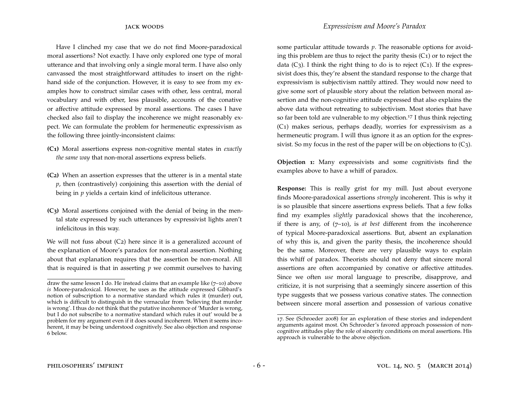Have I clinched my case that we do not find Moore-paradoxical moral assertions? Not exactly. I have only explored one type of moral utterance and that involving only a single moral term. I have also only canvassed the most straightforward attitudes to insert on the righthand side of the conjunction. However, it is easy to see from my examples how to construct similar cases with other, less central, moral vocabulary and with other, less plausible, accounts of the conative or affective attitude expressed by moral assertions. The cases I have checked also fail to display the incoherence we might reasonably expect. We can formulate the problem for hermeneutic expressivism as the following three jointly-inconsistent claims:

- **(C1)** Moral assertions express non-cognitive mental states in *exactly the same way* that non-moral assertions express beliefs.
- **(C2)** When an assertion expresses that the utterer is in a mental state *p*, then (contrastively) conjoining this assertion with the denial of being in *p* yields a certain kind of infelicitous utterance.
- **(C3)** Moral assertions conjoined with the denial of being in the mental state expressed by such utterances by expressivist lights aren't infelicitous in this way.

We will not fuss about  $(C_2)$  here since it is a generalized account of the explanation of Moore's paradox for non-moral assertion. Nothing about that explanation requires that the assertion be non-moral. All that is required is that in asserting *p* we commit ourselves to having some particular attitude towards *p*. The reasonable options for avoiding this problem are thus to reject the parity thesis  $(C_1)$  or to reject the data  $(C_3)$ . I think the right thing to do is to reject  $(C_1)$ . If the expressivist does this, they're absent the standard response to the charge that expressivism is subjectivism nattily attired. They would now need to give some sort of plausible story about the relation between moral assertion and the non-cognitive attitude expressed that also explains the above data without retreating to subjectivism. Most stories that have so far been told are vulnerable to my objection.<sup>[17](#page-5-0)</sup> I thus think rejecting (C1) makes serious, perhaps deadly, worries for expressivism as a hermeneutic program. I will thus ignore it as an option for the expressivist. So my focus in the rest of the paper will be on objections to  $(C_3)$ .

**Objection 1:** Many expressivists and some cognitivists find the examples above to have a whiff of paradox.

**Response:** This is really grist for my mill. Just about everyone finds Moore-paradoxical assertions *strongly* incoherent. This is why it is so plausible that sincere assertions express beliefs. That a few folks find my examples *slightly* paradoxical shows that the incoherence, if there is any, of (7–10), is *at best* different from the incoherence of typical Moore-paradoxical assertions. But, absent an explanation of why this is, and given the parity thesis, the incoherence should be the same. Moreover, there are very plausible ways to explain this whiff of paradox. Theorists should not deny that sincere moral assertions are often accompanied by conative or affective attitudes. Since we often *use* moral language to prescribe, disapprove, and criticize, it is not surprising that a seemingly sincere assertion of this type suggests that we possess various conative states. The connection between sincere moral assertion and possession of various conative

draw the same lesson I do. He instead claims that an example like (7–10) above *is* Moore-paradoxical. However, he uses as the attitude expressed Gibbard's notion of subscription to a normative standard which rules it (murder) out, which is difficult to distinguish in the vernacular from 'believing that murder is wrong'. I thus do not think that the putative incoherence of 'Murder is wrong, but I do not subscribe to a normative standard which rules it out' would be a problem for my argument even if it does sound incoherent. When it seems incoherent, it may be being understood cognitively. See also objection and response 6 below.

<span id="page-5-0"></span><sup>17</sup>. See [\(Schroeder](#page-10-3) 2008) for an exploration of these stories and independent arguments against most. On Schroeder's favored approach possession of noncognitive attitudes play the role of sincerity conditions on moral assertions. His approach is vulnerable to the above objection.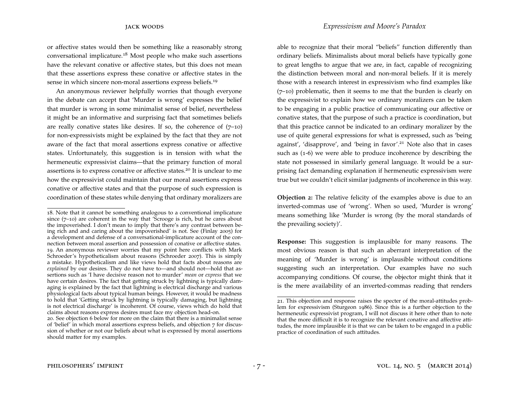or affective states would then be something like a reasonably strong conversational implicature.[18](#page-6-0) Most people who make such assertions have the relevant conative or affective states, but this does not mean that these assertions express these conative or affective states in the sense in which sincere non-moral assertions express beliefs.<sup>[19](#page-6-1)</sup>

An anonymous reviewer helpfully worries that though everyone in the debate can accept that 'Murder is wrong' expresses the belief that murder is wrong in some minimalist sense of belief, nevertheless it might be an informative and surprising fact that sometimes beliefs are really conative states like desires. If so, the coherence of  $(7-10)$ for non-expressivists might be explained by the fact that they are not aware of the fact that moral assertions express conative or affective states. Unfortunately, this suggestion is in tension with what the hermeneutic expressivist claims—that the primary function of moral assertions is to express conative or affective states.[20](#page-6-2) It is unclear to me how the expressivist could maintain that our moral assertions express conative or affective states and that the purpose of such expression is coordination of these states while denying that ordinary moralizers are able to recognize that their moral "beliefs" function differently than ordinary beliefs. Minimalists about moral beliefs have typically gone to great lengths to argue that we are, in fact, capable of recognizing the distinction between moral and non-moral beliefs. If it is merely those with a research interest in expressivism who find examples like (7–10) problematic, then it seems to me that the burden is clearly on the expressivist to explain how we ordinary moralizers can be taken to be engaging in a public practice of communicating our affective or conative states, that the purpose of such a practice is coordination, but that this practice cannot be indicated to an ordinary moralizer by the use of quite general expressions for what is expressed, such as 'being against', 'disapprove', and 'being in favor'.<sup>[21](#page-6-3)</sup> Note also that in cases such as (1-6) we were able to produce incoherence by describing the state not possessed in similarly general language. It would be a surprising fact demanding explanation if hermeneutic expressivism were true but we couldn't elicit similar judgments of incoherence in this way.

**Objection 2:** The relative felicity of the examples above is due to an inverted-commas use of 'wrong'. When so used, 'Murder is wrong' means something like 'Murder is wrong (by the moral standards of the prevailing society)'.

**Response:** This suggestion is implausible for many reasons. The most obvious reason is that such an aberrant interpretation of the meaning of 'Murder is wrong' is implausible without conditions suggesting such an interpretation. Our examples have no such accompanying conditions. Of course, the objector might think that it is the mere availability of an inverted-commas reading that renders

<span id="page-6-1"></span><span id="page-6-0"></span><sup>18</sup>. Note that it cannot be something analogous to a conventional implicature since (7–10) are coherent in the way that 'Scrooge is rich, but he cares about the impoverished. I don't mean to imply that there's any contrast between being rich and and caring about the impoverished' is not. See [\(Finlay](#page-10-9) 2005) for a development and defense of a conversational-implicature account of the connection between moral assertion and possession of conative or affective states. 19. An anonymous reviewer worries that my point here conflicts with Mark Schroeder's hypotheticalism about reasons [\(Schroeder](#page-10-10) 2007). This is simply a mistake. Hypotheticalism and like views hold that facts about reasons are *explained* by our desires. They do not have to—and should not—hold that assertions such as 'I have decisive reason not to murder' *mean* or *express* that we have certain desires. The fact that getting struck by lightning is typically damaging is explained by the fact that lightning is electrical discharge and various physiological facts about typical human beings. However, it would be madness to hold that 'Getting struck by lightning is typically damaging, but lightning is not electrical discharge' is incoherent. Of course, views which do hold that claims about reasons express desires must face my objection head-on.

<span id="page-6-2"></span><sup>20</sup>. See objection 6 below for more on the claim that there is a minimalist sense of 'belief' in which moral assertions express beliefs, and objection 7 for discussion of whether or not our beliefs about what is expressed by moral assertions should matter for my examples.

<span id="page-6-3"></span><sup>21</sup>. This objection and response raises the specter of the moral-attitudes problem for expressivism [\(Sturgeon](#page-11-2) 1986). Since this is a further objection to the hermeneutic expressivist program, I will not discuss it here other than to note that the more difficult it is to recognize the relevant conative and affective attitudes, the more implausible it is that we can be taken to be engaged in a public practice of coordination of such attitudes.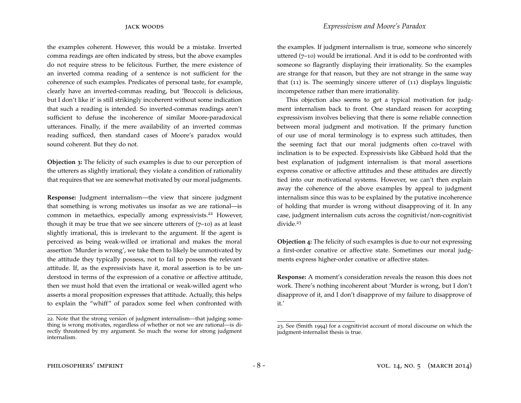the examples coherent. However, this would be a mistake. Inverted comma readings are often indicated by stress, but the above examples do not require stress to be felicitous. Further, the mere existence of an inverted comma reading of a sentence is not sufficient for the coherence of such examples. Predicates of personal taste, for example, clearly have an inverted-commas reading, but 'Broccoli is delicious, but I don't like it' is still strikingly incoherent without some indication that such a reading is intended. So inverted-commas readings aren't sufficient to defuse the incoherence of similar Moore-paradoxical utterances. Finally, if the mere availability of an inverted commas reading sufficed, then standard cases of Moore's paradox would sound coherent. But they do not.

**Objection 3:** The felicity of such examples is due to our perception of the utterers as slightly irrational; they violate a condition of rationality that requires that we are somewhat motivated by our moral judgments.

**Response:** Judgment internalism—the view that sincere judgment that something is wrong motivates us insofar as we are rational—is common in metaethics, especially among expressivists.<sup>[22](#page-7-0)</sup> However, though it may be true that we see sincere utterers of  $(7-10)$  as at least slightly irrational, this is irrelevant to the argument. If the agent is perceived as being weak-willed or irrational and makes the moral assertion 'Murder is wrong', we take them to likely be unmotivated by the attitude they typically possess, not to fail to possess the relevant attitude. If, as the expressivists have it, moral assertion is to be understood in terms of the expression of a conative or affective attitude, then we must hold that even the irrational or weak-willed agent who asserts a moral proposition expresses that attitude. Actually, this helps to explain the "whiff" of paradox some feel when confronted with the examples. If judgment internalism is true, someone who sincerely uttered (7–10) would be irrational. And it is odd to be confronted with someone so flagrantly displaying their irrationality. So the examples are strange for that reason, but they are not strange in the same way that (11) is. The seemingly sincere utterer of (11) displays linguistic incompetence rather than mere irrationality.

This objection also seems to get a typical motivation for judgment internalism back to front. One standard reason for accepting expressivism involves believing that there is some reliable connection between moral judgment and motivation. If the primary function of our use of moral terminology is to express such attitudes, then the seeming fact that our moral judgments often co-travel with inclination is to be expected. Expressivists like Gibbard hold that the best explanation of judgment internalism is that moral assertions express conative or affective attitudes and these attitudes are directly tied into our motivational systems. However, we can't then explain away the coherence of the above examples by appeal to judgment internalism since this was to be explained by the putative incoherence of holding that murder is wrong without disapproving of it. In any case, judgment internalism cuts across the cognitivist/non-cognitivist divide.<sup>[23](#page-7-1)</sup>

**Objection 4:** The felicity of such examples is due to our not expressing a first-order conative or affective state. Sometimes our moral judgments express higher-order conative or affective states.

**Response:** A moment's consideration reveals the reason this does not work. There's nothing incoherent about 'Murder is wrong, but I don't disapprove of it, and I don't disapprove of my failure to disapprove of it.'

<span id="page-7-0"></span><sup>22</sup>. Note that the strong version of judgment internalism—that judging something is wrong motivates, regardless of whether or not we are rational—is directly threatened by my argument. So much the worse for strong judgment internalism.

<span id="page-7-1"></span><sup>23</sup>. See [\(Smith](#page-10-11) 1994) for a cognitivist account of moral discourse on which the judgment-internalist thesis is true.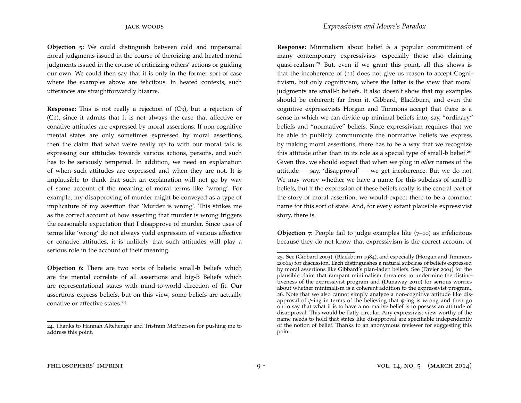**Objection 5:** We could distinguish between cold and impersonal moral judgments issued in the course of theorizing and heated moral judgments issued in the course of criticizing others' actions or guiding our own. We could then say that it is only in the former sort of case where the examples above are felicitous. In heated contexts, such utterances are straightforwardly bizarre.

**Response:** This is not really a rejection of  $(C_3)$ , but a rejection of (C1), since it admits that it is not always the case that affective or conative attitudes are expressed by moral assertions. If non-cognitive mental states are only sometimes expressed by moral assertions, then the claim that what we're really up to with our moral talk is expressing our attitudes towards various actions, persons, and such has to be seriously tempered. In addition, we need an explanation of when such attitudes are expressed and when they are not. It is implausible to think that such an explanation will not go by way of some account of the meaning of moral terms like 'wrong'. For example, my disapproving of murder might be conveyed as a type of implicature of my assertion that 'Murder is wrong'. This strikes me as the correct account of how asserting that murder is wrong triggers the reasonable expectation that I disapprove of murder. Since uses of terms like 'wrong' do not always yield expression of various affective or conative attitudes, it is unlikely that such attitudes will play a serious role in the account of their meaning.

**Objection 6:** There are two sorts of beliefs: small-b beliefs which are the mental correlate of all assertions and big-B Beliefs which are representational states with mind-to-world direction of fit. Our assertions express beliefs, but on this view, some beliefs are actually conative or affective states.<sup>[24](#page-8-0)</sup>

**Response:** Minimalism about belief *is* a popular commitment of many contemporary expressivists—especially those also claiming quasi-realism.[25](#page-8-1) But, even if we grant this point, all this shows is that the incoherence of (11) does not give us reason to accept Cognitivism, but only cognitivism, where the latter is the view that moral judgments are small-b beliefs. It also doesn't show that my examples should be coherent; far from it. Gibbard, Blackburn, and even the cognitive expressivists Horgan and Timmons accept that there is a sense in which we can divide up minimal beliefs into, say, "ordinary" beliefs and "normative" beliefs. Since expressivism requires that we be able to publicly communicate the normative beliefs we express by making moral assertions, there has to be a way that we recognize this attitude other than in its role as a special type of small-b belief.<sup>[26](#page-8-2)</sup> Given this, we should expect that when we plug in *other* names of the attitude  $-$  say, 'disapproval'  $-$  we get incoherence. But we do not. We may worry whether we have a name for this subclass of small-b beliefs, but if the expression of these beliefs really is the central part of the story of moral assertion, we would expect there to be a common name for this sort of state. And, for every extant plausible expressivist story, there is.

**Objection 7**: People fail to judge examples like (7–10) as infelicitous because they do not know that expressivism is the correct account of

<span id="page-8-0"></span><sup>24</sup>. Thanks to Hannah Altehenger and Tristram McPherson for pushing me to address this point.

<span id="page-8-2"></span><span id="page-8-1"></span><sup>25</sup>. See [\(Gibbard](#page-10-5) 2003), [\(Blackburn](#page-10-6) 1984), and especially [\(Horgan and Timmons](#page-10-12) [2006](#page-10-12)a) for discussion. Each distinguishes a natural subclass of beliefs expressed by moral assertions like Gibbard's plan-laden beliefs. See [\(Dreier](#page-10-13) 2004) for the plausible claim that rampant minimalism threatens to undermine the distinctiveness of the expressivist program and [\(Dunaway](#page-10-14) 2010) for serious worries about whether minimalism is a coherent addition to the expressivist program. 26. Note that we also cannot simply analyze a non-cognitive attitude like disapproval of *φ*-ing in terms of the believing that *φ*-ing is wrong and then go on to say that what it is to have a normative belief is to possess an attitude of disapproval. This would be flatly circular. Any expressivist view worthy of the name needs to hold that states like disapproval are specifiable independently of the notion of belief. Thanks to an anonymous reviewer for suggesting this point.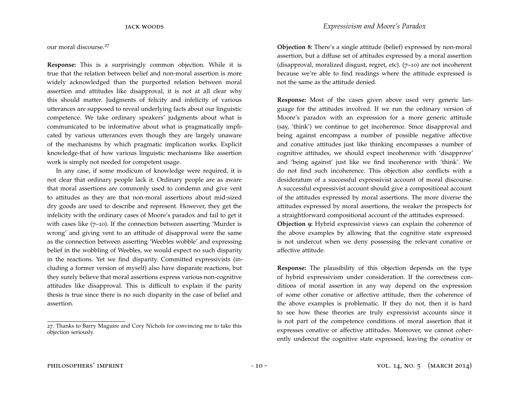our moral discourse.[27](#page-9-0)

**Response:** This is a surprisingly common objection. While it is true that the relation between belief and non-moral assertion is more widely acknowledged than the purported relation between moral assertion and attitudes like disapproval, it is not at all clear why this should matter. Judgments of felicity and infelicity of various utterances are supposed to reveal underlying facts about our linguistic competence. We take ordinary speakers' judgments about what is communicated to be informative about what is pragmatically implicated by various utterances even though they are largely unaware of the mechanisms by which pragmatic implication works. Explicit knowledge-that of how various linguistic mechanisms like assertion work is simply not needed for competent usage.

In any case, if some modicum of knowledge were required, it is not clear that ordinary people lack it. Ordinary people are as aware that moral assertions are commonly used to condemn and give vent to attitudes as they are that non-moral assertions about mid-sized dry goods are used to describe and represent. However, they get the infelicity with the ordinary cases of Moore's paradox and fail to get it with cases like  $(7-10)$ . If the connection between asserting 'Murder is wrong' and giving vent to an attitude of disapproval were the same as the connection between asserting 'Weebles wobble' and expressing belief in the wobbling of Weebles, we would expect no such disparity in the reactions. Yet we find disparity. Committed expressivists (including a former version of myself) also have disparate reactions, but they surely believe that moral assertions express various non-cognitive attitudes like disapproval. This is difficult to explain if the parity thesis is true since there is no such disparity in the case of belief and assertion.

**Objection 8:** There's a single attitude (belief) expressed by non-moral assertion, but a diffuse set of attitudes expressed by a moral assertion (disapproval, moralized disgust, regret, etc). (7–10) are not incoherent because we're able to find readings where the attitude expressed is not the same as the attitude denied.

**Response:** Most of the cases given above used very generic language for the attitudes involved. If we run the ordinary version of Moore's paradox with an expression for a more generic attitude (say, 'think') we continue to get incoherence. Since disapproval and being against encompass a number of possible negative affective and conative attitudes just like thinking encompasses a number of cognitive attitudes, we should expect incoherence with 'disapprove' and 'being against' just like we find incoherence with 'think'. We do not find such incoherence. This objection also conflicts with a desideratum of a successful expressivist account of moral discourse. A successful expressivist account should give a compositional account of the attitudes expressed by moral assertions. The more diverse the attitudes expressed by moral assertions, the weaker the prospects for a straightforward compositional account of the attitudes expressed. **Objection 9:** Hybrid expressivist views can explain the coherence of the above examples by allowing that the cognitive state expressed is not undercut when we deny possessing the relevant conative or affective attitude.

**Response:** The plausibility of this objection depends on the type of hybrid expressivism under consideration. If the correctness conditions of moral assertion in any way depend on the expression of some other conative or affective attitude, then the coherence of the above examples is problematic. If they do not, then it is hard to see how these theories are truly expressivist accounts since it is not part of the competence conditions of moral assertion that it expresses conative or affective attitudes. Moreover, we cannot coherently undercut the cognitive state expressed, leaving the conative or

<span id="page-9-0"></span><sup>27</sup>. Thanks to Barry Maguire and Cory Nichols for convincing me to take this objection seriously.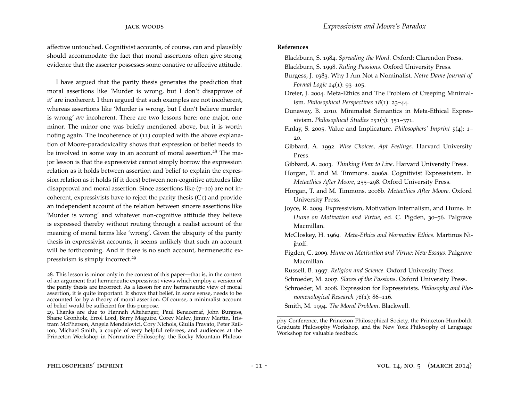affective untouched. Cognitivist accounts, of course, can and plausibly should accommodate the fact that moral assertions often give strong evidence that the asserter possesses some conative or affective attitude.

I have argued that the parity thesis generates the prediction that moral assertions like 'Murder is wrong, but I don't disapprove of it' are incoherent. I then argued that such examples are not incoherent, whereas assertions like 'Murder is wrong, but I don't believe murder is wrong' *are* incoherent. There are two lessons here: one major, one minor. The minor one was briefly mentioned above, but it is worth noting again. The incoherence of (11) coupled with the above explanation of Moore-paradoxicality shows that expression of belief needs to be involved in some way in an account of moral assertion.<sup>[28](#page-10-15)</sup> The major lesson is that the expressivist cannot simply borrow the expression relation as it holds between assertion and belief to explain the expression relation as it holds (if it does) between non-cognitive attitudes like disapproval and moral assertion. Since assertions like (7–10) are not incoherent, expressivists have to reject the parity thesis (C1) and provide an independent account of the relation between sincere assertions like 'Murder is wrong' and whatever non-cognitive attitude they believe is expressed thereby without routing through a realist account of the meaning of moral terms like 'wrong'. Given the ubiquity of the parity thesis in expressivist accounts, it seems unlikely that such an account will be forthcoming. And if there is no such account, hermeneutic expressivism is simply incorrect.[29](#page-10-16)

## <span id="page-10-6"></span>**References**

Blackburn, S. 1984. *Spreading the Word*. Oxford: Clarendon Press.

<span id="page-10-7"></span>Blackburn, S. 1998. *Ruling Passions*. Oxford University Press.

- <span id="page-10-0"></span>Burgess, J. 1983. Why I Am Not a Nominalist. *Notre Dame Journal of Formal Logic 24*(1): 93–105.
- <span id="page-10-13"></span>Dreier, J. 2004. Meta-Ethics and The Problem of Creeping Minimalism. *Philosophical Perspectives 18*(1): 23–44.

<span id="page-10-14"></span>Dunaway, B. 2010. Minimalist Semantics in Meta-Ethical Expressivism. *Philosophical Studies 151*(3): 351–371.

- <span id="page-10-9"></span>Finlay, S. 2005. Value and Implicature. *Philosophers' Imprint 5*(4): 1– 20.
- <span id="page-10-4"></span>Gibbard, A. 1992. *Wise Choices, Apt Feelings*. Harvard University Press.
- <span id="page-10-5"></span>Gibbard, A. 2003. *Thinking How to Live*. Harvard University Press.
- <span id="page-10-12"></span>Horgan, T. and M. Timmons. 2006a. Cognitivist Expressivism. In *Metaethics After Moore*, 255–298. Oxford University Press.
- Horgan, T. and M. Timmons. 2006b. *Metaethics After Moore*. Oxford University Press.
- <span id="page-10-8"></span>Joyce, R. 2009. Expressivism, Motivation Internalism, and Hume. In *Hume on Motivation and Virtue*, ed. C. Pigden, 30–56. Palgrave Macmillan.
- <span id="page-10-1"></span>McCloskey, H. 1969. *Meta-Ethics and Normative Ethics*. Martinus Nijhoff.
- Pigden, C. 2009. *Hume on Motivation and Virtue: New Essays*. Palgrave Macmillan.

<span id="page-10-10"></span><span id="page-10-2"></span>Russell, B. 1997. *Religion and Science*. Oxford University Press.

Schroeder, M. 2007. *Slaves of the Passions*. Oxford University Press.

<span id="page-10-3"></span>Schroeder, M. 2008. Expression for Expressivists. *Philosophy and Phenomenological Research 76*(1): 86–116.

<span id="page-10-11"></span>Smith, M. 1994. *The Moral Problem*. Blackwell.

<span id="page-10-15"></span><sup>28</sup>. This lesson is minor only in the context of this paper—that is, in the context of an argument that hermeneutic expressivist views which employ a version of the parity thesis are incorrect. As a lesson for any hermeneutic view of moral assertion, it is quite important. It shows that belief, in some sense, needs to be accounted for by a theory of moral assertion. Of course, a minimalist account of belief would be sufficient for this purpose.

<span id="page-10-16"></span><sup>29</sup>. Thanks are due to Hannah Altehenger, Paul Benacerraf, John Burgess, Shane Gronholz, Errol Lord, Barry Maguire, Corey Maley, Jimmy Martin, Tristram McPherson, Angela Mendelovici, Cory Nichols, Giulia Pravato, Peter Railton, Michael Smith, a couple of very helpful referees, and audiences at the Princeton Workshop in Normative Philosophy, the Rocky Mountain Philoso-

phy Conference, the Princeton Philosophical Society, the Princeton-Humboldt Graduate Philosophy Workshop, and the New York Philosophy of Language Workshop for valuable feedback.